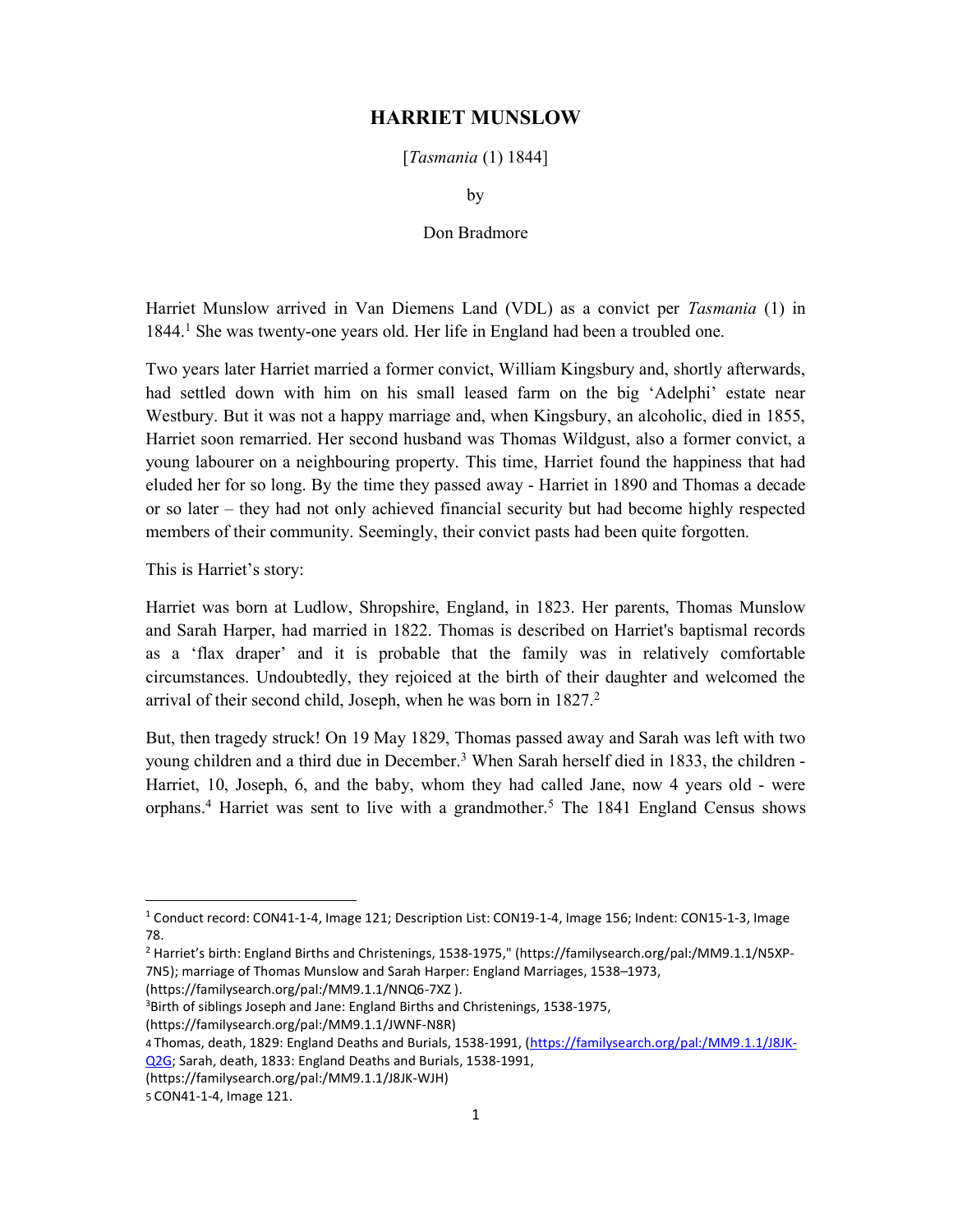## HARRIET MUNSLOW

[Tasmania (1) 1844]

by

Don Bradmore

Harriet Munslow arrived in Van Diemens Land (VDL) as a convict per Tasmania (1) in 1844.<sup>1</sup> She was twenty-one years old. Her life in England had been a troubled one.

Two years later Harriet married a former convict, William Kingsbury and, shortly afterwards, had settled down with him on his small leased farm on the big 'Adelphi' estate near Westbury. But it was not a happy marriage and, when Kingsbury, an alcoholic, died in 1855, Harriet soon remarried. Her second husband was Thomas Wildgust, also a former convict, a young labourer on a neighbouring property. This time, Harriet found the happiness that had eluded her for so long. By the time they passed away - Harriet in 1890 and Thomas a decade or so later – they had not only achieved financial security but had become highly respected members of their community. Seemingly, their convict pasts had been quite forgotten.

This is Harriet's story:

Harriet was born at Ludlow, Shropshire, England, in 1823. Her parents, Thomas Munslow and Sarah Harper, had married in 1822. Thomas is described on Harriet's baptismal records as a 'flax draper' and it is probable that the family was in relatively comfortable circumstances. Undoubtedly, they rejoiced at the birth of their daughter and welcomed the arrival of their second child, Joseph, when he was born in 1827.<sup>2</sup>

But, then tragedy struck! On 19 May 1829, Thomas passed away and Sarah was left with two young children and a third due in December.<sup>3</sup> When Sarah herself died in 1833, the children -Harriet, 10, Joseph, 6, and the baby, whom they had called Jane, now 4 years old - were orphans.<sup>4</sup> Harriet was sent to live with a grandmother.<sup>5</sup> The 1841 England Census shows

(https://familysearch.org/pal:/MM9.1.1/NNQ6-7XZ ).

<sup>&</sup>lt;sup>1</sup> Conduct record: CON41-1-4, Image 121; Description List: CON19-1-4, Image 156; Indent: CON15-1-3, Image 78.

<sup>2</sup> Harriet's birth: England Births and Christenings, 1538-1975," (https://familysearch.org/pal:/MM9.1.1/N5XP-7N5); marriage of Thomas Munslow and Sarah Harper: England Marriages, 1538–1973,

<sup>3</sup>Birth of siblings Joseph and Jane: England Births and Christenings, 1538-1975,

<sup>(</sup>https://familysearch.org/pal:/MM9.1.1/JWNF-N8R)

<sup>4</sup> Thomas, death, 1829: England Deaths and Burials, 1538-1991, (https://familysearch.org/pal:/MM9.1.1/J8JK-Q2G; Sarah, death, 1833: England Deaths and Burials, 1538-1991,

<sup>(</sup>https://familysearch.org/pal:/MM9.1.1/J8JK-WJH)

<sup>5</sup> CON41-1-4, Image 121.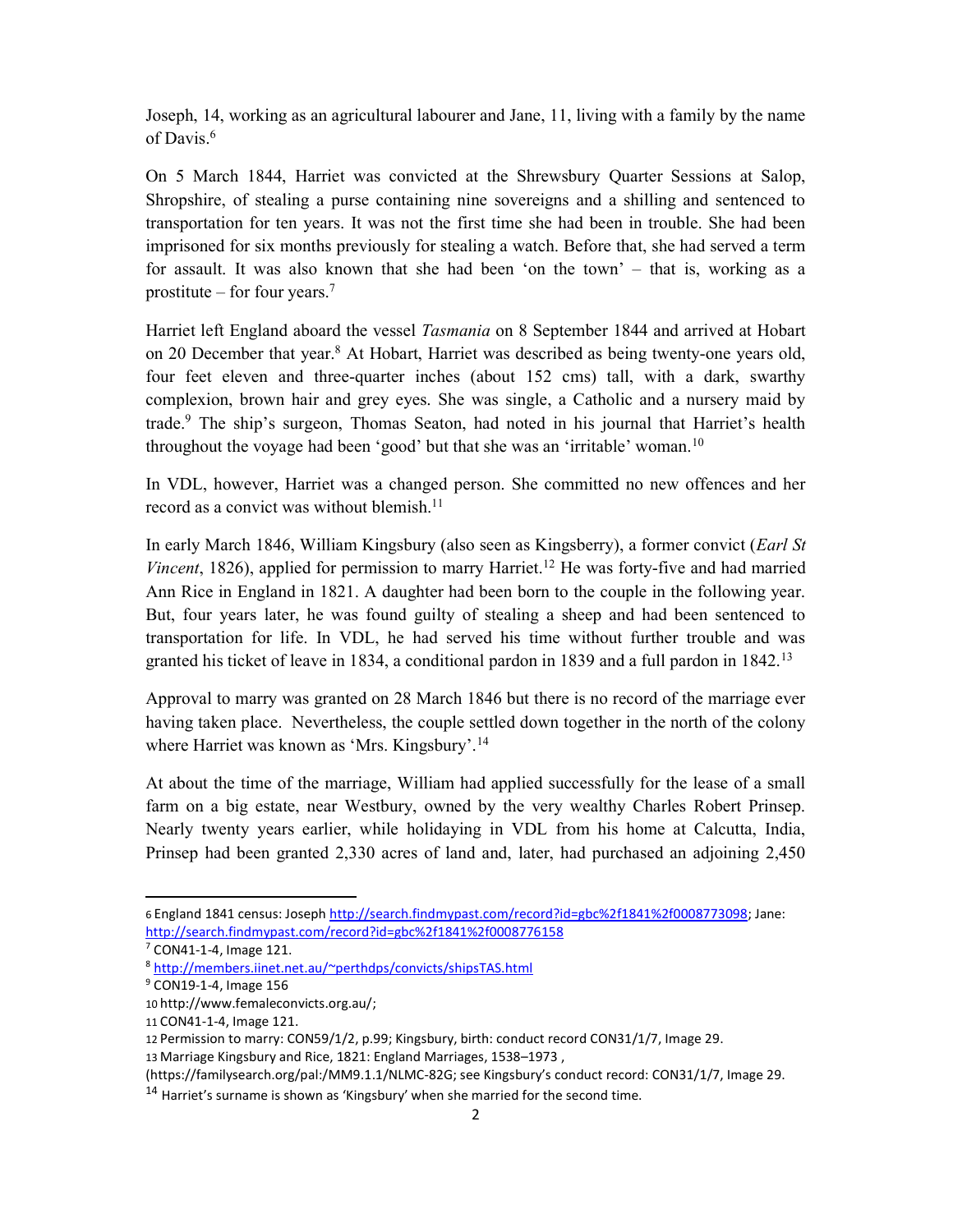Joseph, 14, working as an agricultural labourer and Jane, 11, living with a family by the name of Davis.<sup>6</sup>

On 5 March 1844, Harriet was convicted at the Shrewsbury Quarter Sessions at Salop, Shropshire, of stealing a purse containing nine sovereigns and a shilling and sentenced to transportation for ten years. It was not the first time she had been in trouble. She had been imprisoned for six months previously for stealing a watch. Before that, she had served a term for assault. It was also known that she had been 'on the town' – that is, working as a prostitute – for four years.<sup>7</sup>

Harriet left England aboard the vessel Tasmania on 8 September 1844 and arrived at Hobart on 20 December that year.<sup>8</sup> At Hobart, Harriet was described as being twenty-one years old, four feet eleven and three-quarter inches (about 152 cms) tall, with a dark, swarthy complexion, brown hair and grey eyes. She was single, a Catholic and a nursery maid by trade.<sup>9</sup> The ship's surgeon, Thomas Seaton, had noted in his journal that Harriet's health throughout the voyage had been 'good' but that she was an 'irritable' woman.<sup>10</sup>

In VDL, however, Harriet was a changed person. She committed no new offences and her record as a convict was without blemish.<sup>11</sup>

In early March 1846, William Kingsbury (also seen as Kingsberry), a former convict (Earl St Vincent, 1826), applied for permission to marry Harriet.<sup>12</sup> He was forty-five and had married Ann Rice in England in 1821. A daughter had been born to the couple in the following year. But, four years later, he was found guilty of stealing a sheep and had been sentenced to transportation for life. In VDL, he had served his time without further trouble and was granted his ticket of leave in 1834, a conditional pardon in 1839 and a full pardon in  $1842$ .<sup>13</sup>

Approval to marry was granted on 28 March 1846 but there is no record of the marriage ever having taken place. Nevertheless, the couple settled down together in the north of the colony where Harriet was known as 'Mrs. Kingsbury'.<sup>14</sup>

At about the time of the marriage, William had applied successfully for the lease of a small farm on a big estate, near Westbury, owned by the very wealthy Charles Robert Prinsep. Nearly twenty years earlier, while holidaying in VDL from his home at Calcutta, India, Prinsep had been granted 2,330 acres of land and, later, had purchased an adjoining 2,450

<sup>6</sup> England 1841 census: Joseph http://search.findmypast.com/record?id=gbc%2f1841%2f0008773098; Jane: http://search.findmypast.com/record?id=gbc%2f1841%2f0008776158

<sup>7</sup> CON41-1-4, Image 121.

<sup>8</sup> http://members.iinet.net.au/~perthdps/convicts/shipsTAS.html

<sup>9</sup> CON19-1-4, Image 156

<sup>10</sup> http://www.femaleconvicts.org.au/;

<sup>11</sup> CON41-1-4, Image 121.

<sup>12</sup> Permission to marry: CON59/1/2, p.99; Kingsbury, birth: conduct record CON31/1/7, Image 29.

<sup>13</sup> Marriage Kingsbury and Rice, 1821: England Marriages, 1538–1973 ,

<sup>(</sup>https://familysearch.org/pal:/MM9.1.1/NLMC-82G; see Kingsbury's conduct record: CON31/1/7, Image 29.

 $14$  Harriet's surname is shown as 'Kingsbury' when she married for the second time.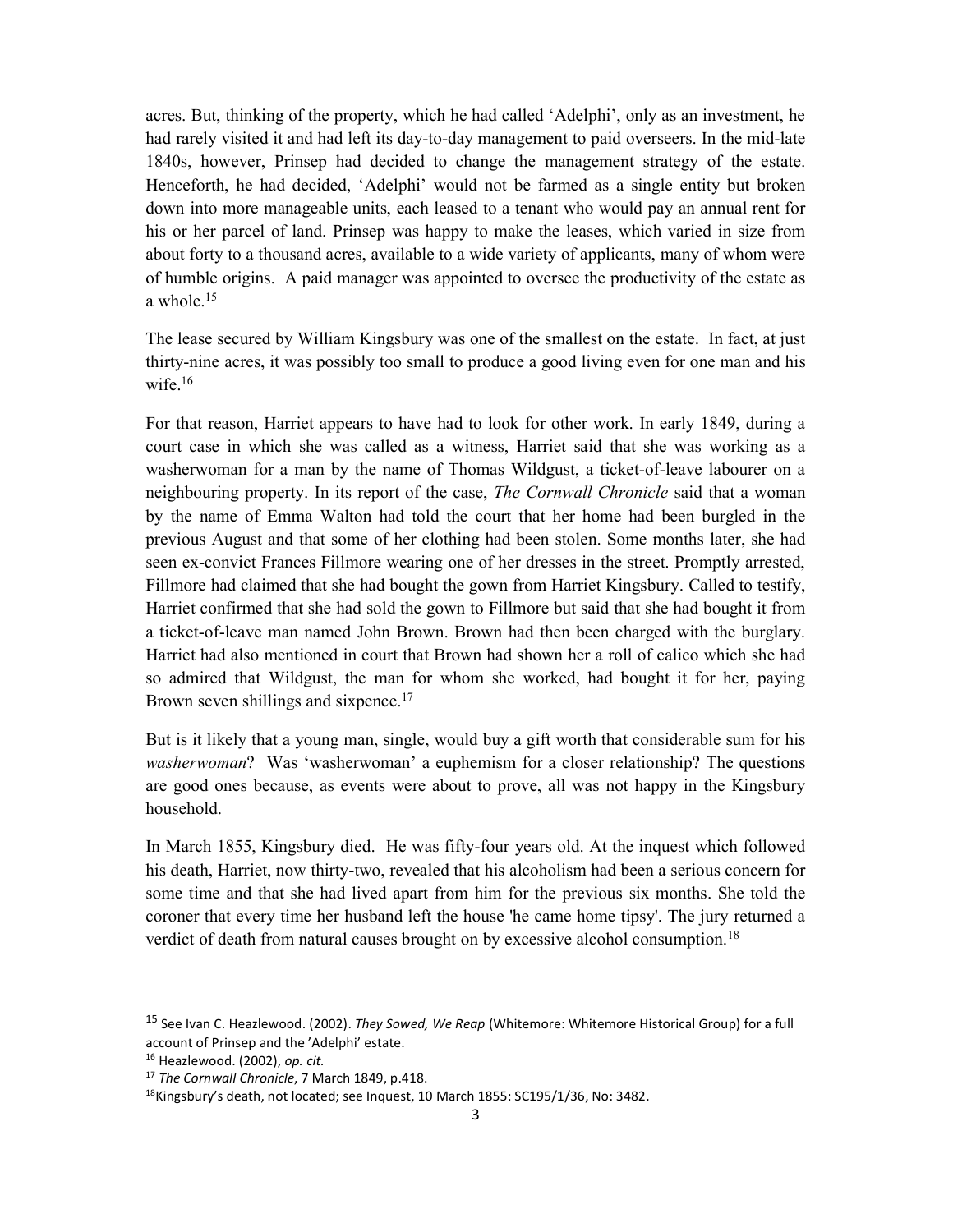acres. But, thinking of the property, which he had called 'Adelphi', only as an investment, he had rarely visited it and had left its day-to-day management to paid overseers. In the mid-late 1840s, however, Prinsep had decided to change the management strategy of the estate. Henceforth, he had decided, 'Adelphi' would not be farmed as a single entity but broken down into more manageable units, each leased to a tenant who would pay an annual rent for his or her parcel of land. Prinsep was happy to make the leases, which varied in size from about forty to a thousand acres, available to a wide variety of applicants, many of whom were of humble origins. A paid manager was appointed to oversee the productivity of the estate as a whole.<sup>15</sup>

The lease secured by William Kingsbury was one of the smallest on the estate. In fact, at just thirty-nine acres, it was possibly too small to produce a good living even for one man and his wife.<sup>16</sup>

For that reason, Harriet appears to have had to look for other work. In early 1849, during a court case in which she was called as a witness, Harriet said that she was working as a washerwoman for a man by the name of Thomas Wildgust, a ticket-of-leave labourer on a neighbouring property. In its report of the case, *The Cornwall Chronicle* said that a woman by the name of Emma Walton had told the court that her home had been burgled in the previous August and that some of her clothing had been stolen. Some months later, she had seen ex-convict Frances Fillmore wearing one of her dresses in the street. Promptly arrested, Fillmore had claimed that she had bought the gown from Harriet Kingsbury. Called to testify, Harriet confirmed that she had sold the gown to Fillmore but said that she had bought it from a ticket-of-leave man named John Brown. Brown had then been charged with the burglary. Harriet had also mentioned in court that Brown had shown her a roll of calico which she had so admired that Wildgust, the man for whom she worked, had bought it for her, paying Brown seven shillings and sixpence.<sup>17</sup>

But is it likely that a young man, single, would buy a gift worth that considerable sum for his washerwoman? Was 'washerwoman' a euphemism for a closer relationship? The questions are good ones because, as events were about to prove, all was not happy in the Kingsbury household.

In March 1855, Kingsbury died. He was fifty-four years old. At the inquest which followed his death, Harriet, now thirty-two, revealed that his alcoholism had been a serious concern for some time and that she had lived apart from him for the previous six months. She told the coroner that every time her husband left the house 'he came home tipsy'. The jury returned a verdict of death from natural causes brought on by excessive alcohol consumption.<sup>18</sup>

<sup>&</sup>lt;sup>15</sup> See Ivan C. Heazlewood. (2002). They Sowed, We Reap (Whitemore: Whitemore Historical Group) for a full account of Prinsep and the 'Adelphi' estate.

<sup>16</sup> Heazlewood. (2002), op. cit.

<sup>&</sup>lt;sup>17</sup> The Cornwall Chronicle, 7 March 1849, p.418.

<sup>18</sup>Kingsbury's death, not located; see Inquest, 10 March 1855: SC195/1/36, No: 3482.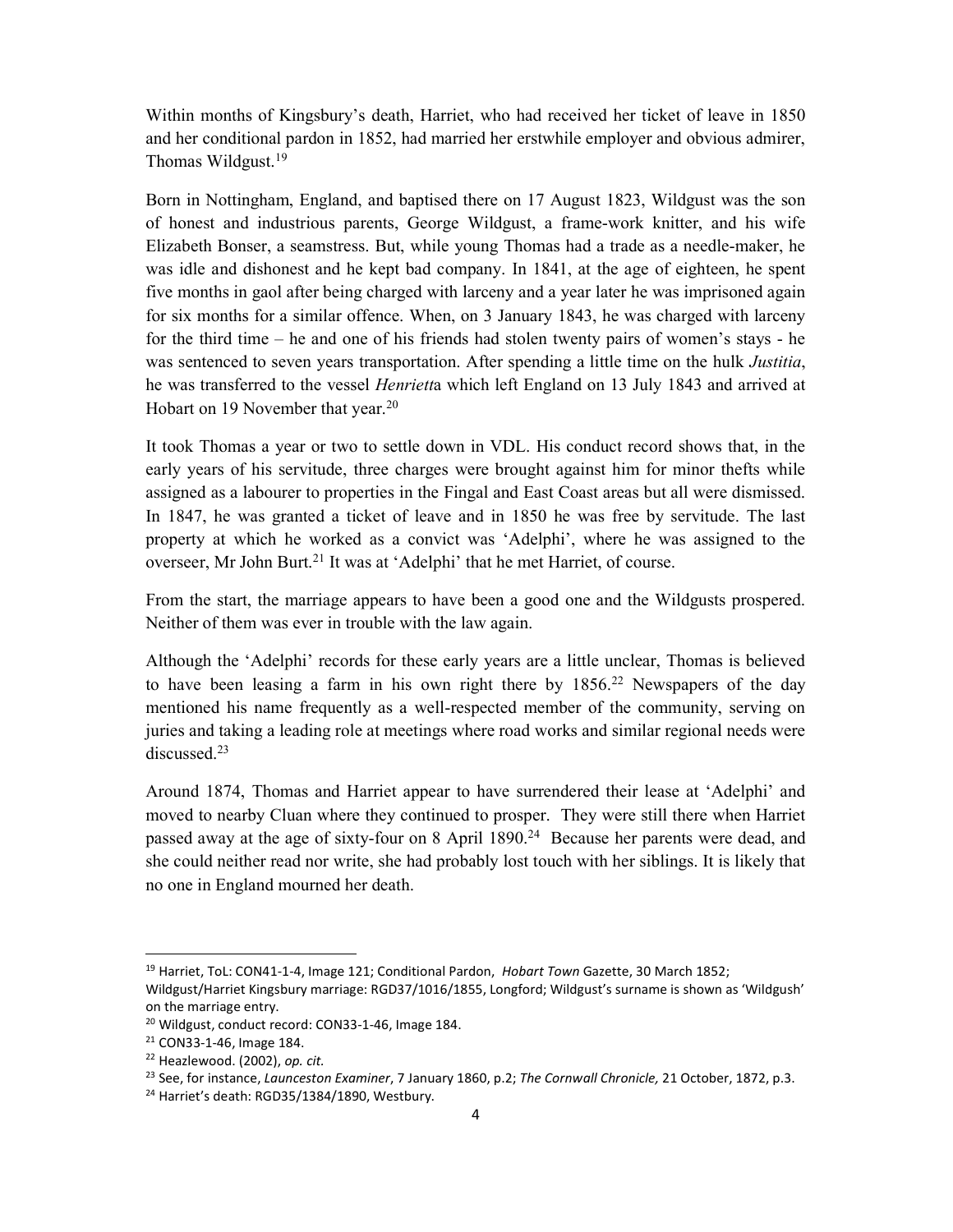Within months of Kingsbury's death, Harriet, who had received her ticket of leave in 1850 and her conditional pardon in 1852, had married her erstwhile employer and obvious admirer, Thomas Wildgust.<sup>19</sup>

Born in Nottingham, England, and baptised there on 17 August 1823, Wildgust was the son of honest and industrious parents, George Wildgust, a frame-work knitter, and his wife Elizabeth Bonser, a seamstress. But, while young Thomas had a trade as a needle-maker, he was idle and dishonest and he kept bad company. In 1841, at the age of eighteen, he spent five months in gaol after being charged with larceny and a year later he was imprisoned again for six months for a similar offence. When, on 3 January 1843, he was charged with larceny for the third time – he and one of his friends had stolen twenty pairs of women's stays - he was sentenced to seven years transportation. After spending a little time on the hulk *Justitia*, he was transferred to the vessel *Henriett*a which left England on 13 July 1843 and arrived at Hobart on 19 November that year.<sup>20</sup>

It took Thomas a year or two to settle down in VDL. His conduct record shows that, in the early years of his servitude, three charges were brought against him for minor thefts while assigned as a labourer to properties in the Fingal and East Coast areas but all were dismissed. In 1847, he was granted a ticket of leave and in 1850 he was free by servitude. The last property at which he worked as a convict was 'Adelphi', where he was assigned to the overseer, Mr John Burt.<sup>21</sup> It was at 'Adelphi' that he met Harriet, of course.

From the start, the marriage appears to have been a good one and the Wildgusts prospered. Neither of them was ever in trouble with the law again.

Although the 'Adelphi' records for these early years are a little unclear, Thomas is believed to have been leasing a farm in his own right there by  $1856<sup>22</sup>$  Newspapers of the day mentioned his name frequently as a well-respected member of the community, serving on juries and taking a leading role at meetings where road works and similar regional needs were discussed.<sup>23</sup>

Around 1874, Thomas and Harriet appear to have surrendered their lease at 'Adelphi' and moved to nearby Cluan where they continued to prosper. They were still there when Harriet passed away at the age of sixty-four on 8 April 1890.<sup>24</sup> Because her parents were dead, and she could neither read nor write, she had probably lost touch with her siblings. It is likely that no one in England mourned her death.

<sup>&</sup>lt;sup>19</sup> Harriet, ToL: CON41-1-4, Image 121; Conditional Pardon, Hobart Town Gazette, 30 March 1852;

Wildgust/Harriet Kingsbury marriage: RGD37/1016/1855, Longford; Wildgust's surname is shown as 'Wildgush' on the marriage entry.

<sup>&</sup>lt;sup>20</sup> Wildgust, conduct record: CON33-1-46, Image 184.

<sup>21</sup> CON33-1-46, Image 184.

<sup>&</sup>lt;sup>22</sup> Heazlewood. (2002), op. cit.

<sup>&</sup>lt;sup>23</sup> See, for instance, Launceston Examiner, 7 January 1860, p.2; The Cornwall Chronicle, 21 October, 1872, p.3.

<sup>&</sup>lt;sup>24</sup> Harriet's death: RGD35/1384/1890, Westbury.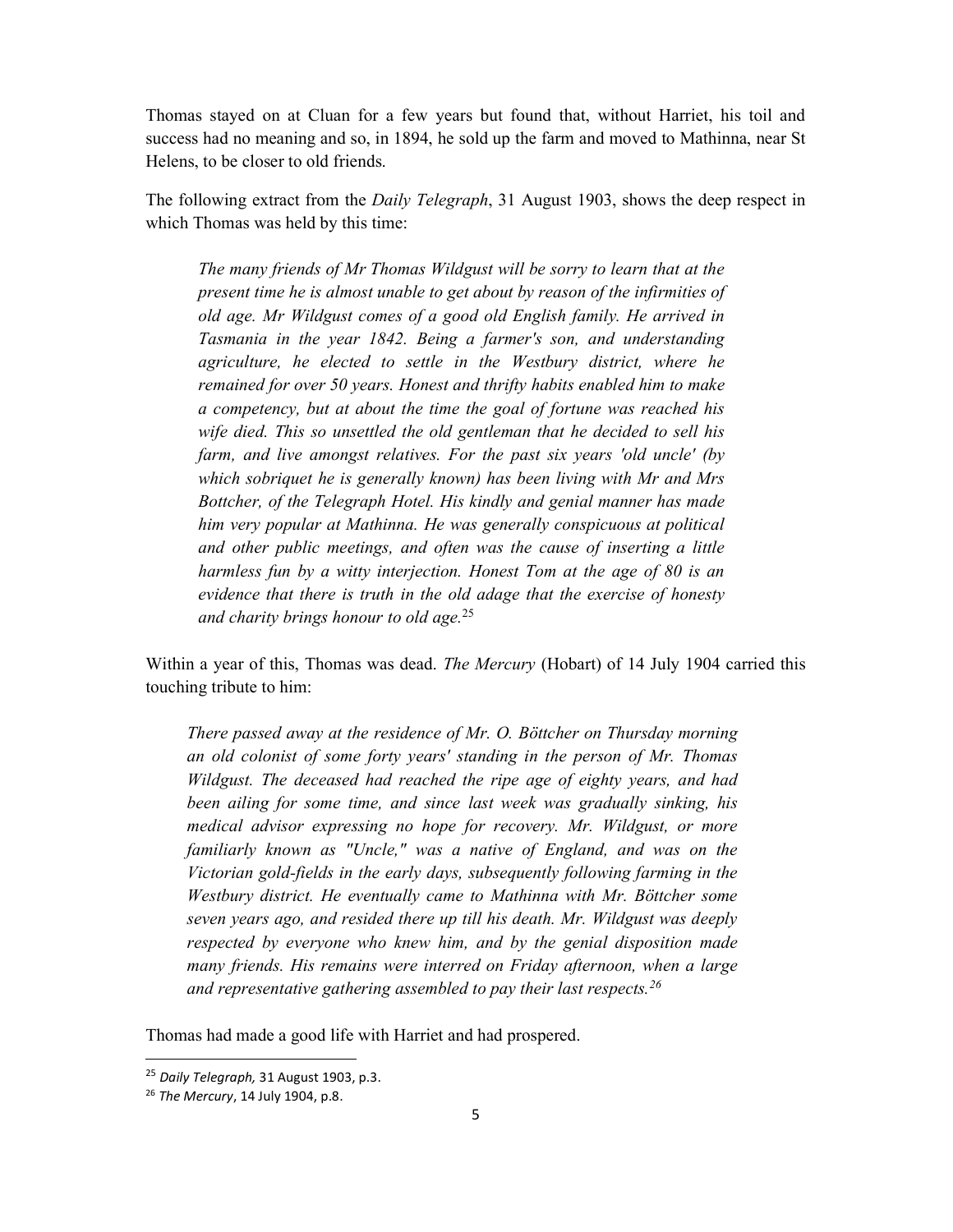Thomas stayed on at Cluan for a few years but found that, without Harriet, his toil and success had no meaning and so, in 1894, he sold up the farm and moved to Mathinna, near St Helens, to be closer to old friends.

The following extract from the *Daily Telegraph*, 31 August 1903, shows the deep respect in which Thomas was held by this time:

The many friends of Mr Thomas Wildgust will be sorry to learn that at the present time he is almost unable to get about by reason of the infirmities of old age. Mr Wildgust comes of a good old English family. He arrived in Tasmania in the year 1842. Being a farmer's son, and understanding agriculture, he elected to settle in the Westbury district, where he remained for over 50 years. Honest and thrifty habits enabled him to make a competency, but at about the time the goal of fortune was reached his wife died. This so unsettled the old gentleman that he decided to sell his farm, and live amongst relatives. For the past six years 'old uncle' (by which sobriquet he is generally known) has been living with Mr and Mrs Bottcher, of the Telegraph Hotel. His kindly and genial manner has made him very popular at Mathinna. He was generally conspicuous at political and other public meetings, and often was the cause of inserting a little harmless fun by a witty interjection. Honest Tom at the age of 80 is an evidence that there is truth in the old adage that the exercise of honesty and charity brings honour to old age.<sup>25</sup>

Within a year of this, Thomas was dead. *The Mercury* (Hobart) of 14 July 1904 carried this touching tribute to him:

There passed away at the residence of Mr. O. Böttcher on Thursday morning an old colonist of some forty years' standing in the person of Mr. Thomas Wildgust. The deceased had reached the ripe age of eighty years, and had been ailing for some time, and since last week was gradually sinking, his medical advisor expressing no hope for recovery. Mr. Wildgust, or more familiarly known as "Uncle," was a native of England, and was on the Victorian gold-fields in the early days, subsequently following farming in the Westbury district. He eventually came to Mathinna with Mr. Böttcher some seven years ago, and resided there up till his death. Mr. Wildgust was deeply respected by everyone who knew him, and by the genial disposition made many friends. His remains were interred on Friday afternoon, when a large and representative gathering assembled to pay their last respects.<sup>26</sup>

Thomas had made a good life with Harriet and had prospered.

<sup>&</sup>lt;sup>25</sup> Daily Telegraph, 31 August 1903, p.3.

<sup>26</sup> The Mercury, 14 July 1904, p.8.